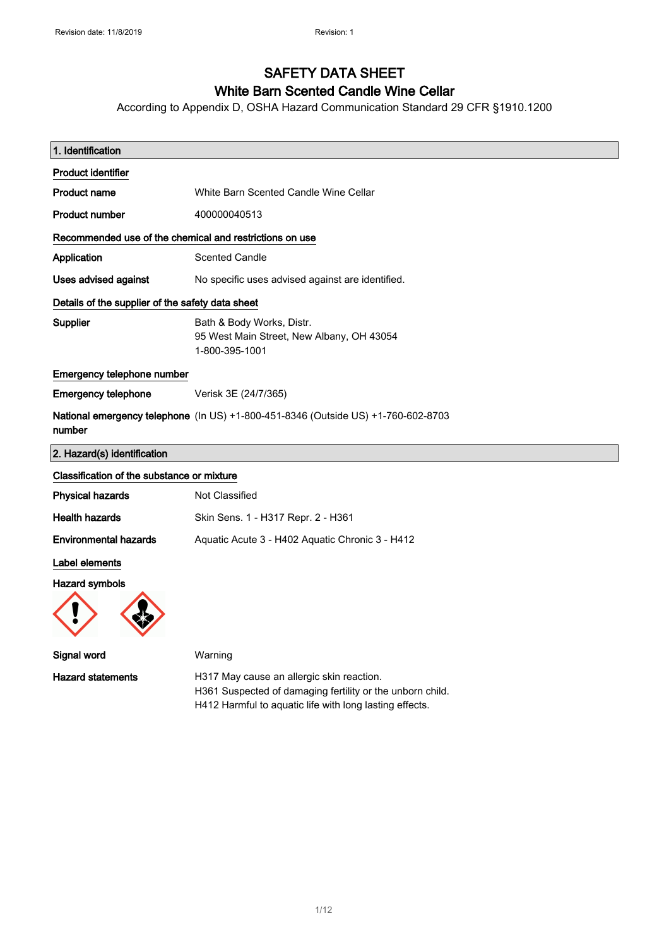# SAFETY DATA SHEET

## White Barn Scented Candle Wine Cellar

According to Appendix D, OSHA Hazard Communication Standard 29 CFR §1910.1200

| 1. Identification                                       |                                                                                                        |
|---------------------------------------------------------|--------------------------------------------------------------------------------------------------------|
| <b>Product identifier</b>                               |                                                                                                        |
| <b>Product name</b>                                     | White Barn Scented Candle Wine Cellar                                                                  |
| Product number                                          | 400000040513                                                                                           |
| Recommended use of the chemical and restrictions on use |                                                                                                        |
| Application                                             | <b>Scented Candle</b>                                                                                  |
| <b>Uses advised against</b>                             | No specific uses advised against are identified.                                                       |
| Details of the supplier of the safety data sheet        |                                                                                                        |
| <b>Supplier</b>                                         | Bath & Body Works, Distr.<br>95 West Main Street, New Albany, OH 43054<br>1-800-395-1001               |
| Emergency telephone number                              |                                                                                                        |
| <b>Emergency telephone</b>                              | Verisk 3E (24/7/365)                                                                                   |
| number                                                  | National emergency telephone (In US) +1-800-451-8346 (Outside US) +1-760-602-8703                      |
| 2. Hazard(s) identification                             |                                                                                                        |
| Classification of the substance or mixture              |                                                                                                        |
| <b>Physical hazards</b>                                 | Not Classified                                                                                         |
| <b>Health hazards</b>                                   | Skin Sens. 1 - H317 Repr. 2 - H361                                                                     |
| <b>Environmental hazards</b>                            | Aquatic Acute 3 - H402 Aquatic Chronic 3 - H412                                                        |
| Label elements                                          |                                                                                                        |
| <b>Hazard symbols</b>                                   |                                                                                                        |
| Signal word                                             | Warning                                                                                                |
| <b>Hazard statements</b>                                | H317 May cause an allergic skin reaction.<br>H361 Suspected of damaging fertility or the unborn child. |

H412 Harmful to aquatic life with long lasting effects.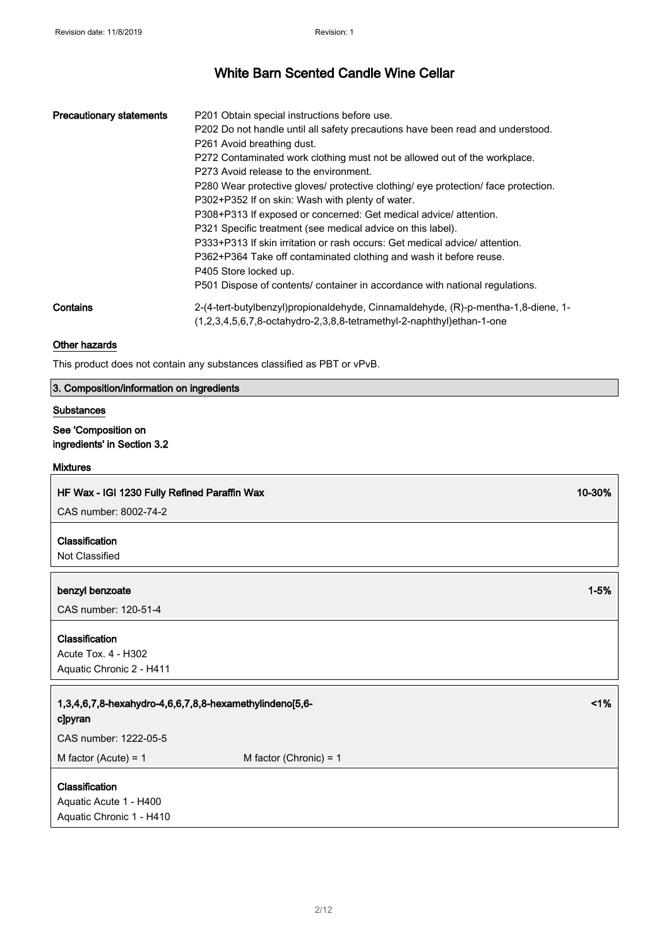| <b>Precautionary statements</b> | P201 Obtain special instructions before use.                                       |
|---------------------------------|------------------------------------------------------------------------------------|
|                                 | P202 Do not handle until all safety precautions have been read and understood.     |
|                                 | P <sub>261</sub> Avoid breathing dust.                                             |
|                                 | P272 Contaminated work clothing must not be allowed out of the workplace.          |
|                                 | P273 Avoid release to the environment.                                             |
|                                 | P280 Wear protective gloves/ protective clothing/ eye protection/ face protection. |
|                                 | P302+P352 If on skin: Wash with plenty of water.                                   |
|                                 | P308+P313 If exposed or concerned: Get medical advice/ attention.                  |
|                                 | P321 Specific treatment (see medical advice on this label).                        |
|                                 | P333+P313 If skin irritation or rash occurs: Get medical advice/attention.         |
|                                 | P362+P364 Take off contaminated clothing and wash it before reuse.                 |
|                                 | P405 Store locked up.                                                              |
|                                 | P501 Dispose of contents/ container in accordance with national regulations.       |
| Contains                        | 2-(4-tert-butylbenzyl)propionaldehyde, Cinnamaldehyde, (R)-p-mentha-1,8-diene, 1-  |
|                                 | $(1,2,3,4,5,6,7,8$ -octahydro-2,3,8,8-tetramethyl-2-naphthyl)ethan-1-one           |

### Other hazards

This product does not contain any substances classified as PBT or vPvB.

### 3. Composition/information on ingredients

#### Substances

### See 'Composition on ingredients' in Section 3.2

#### Mixtures

### HF Wax - IGI 1230 Fully Refined Paraffin Wax 10-30% and 10-30% in the state of the state of the state of the state of the state of the state of the state of the state of the state of the state of the state of the state of

CAS number: 8002-74-2

### Classification

Not Classified

### benzyl benzoate 1-5%

CAS number: 120-51-4

### Classification

Acute Tox. 4 - H302 Aquatic Chronic 2 - H411

### 1,3,4,6,7,8-hexahydro-4,6,6,7,8,8-hexamethylindeno[5,6 c]pyran

CAS number: 1222-05-5

 $M$  factor (Acute) = 1  $M$  factor (Chronic) = 1

### **Classification**

Aquatic Acute 1 - H400 Aquatic Chronic 1 - H410 <1%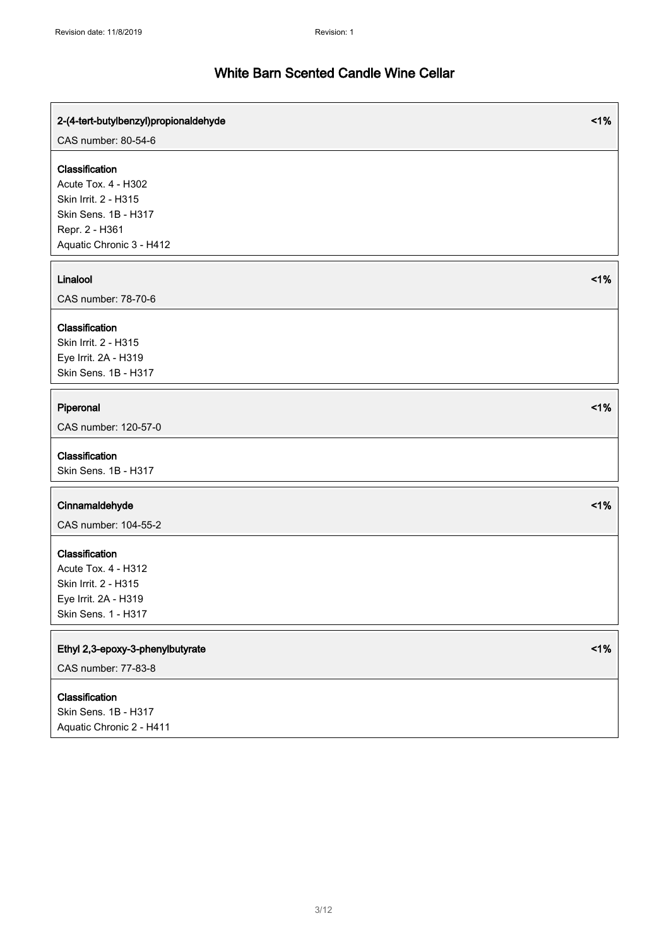r

| 2-(4-tert-butylbenzyl)propionaldehyde                                                                        | 1% |
|--------------------------------------------------------------------------------------------------------------|----|
| CAS number: 80-54-6                                                                                          |    |
| Classification<br>Acute Tox. 4 - H302<br>Skin Irrit. 2 - H315<br>Skin Sens. 1B - H317<br>Repr. 2 - H361      |    |
| Aquatic Chronic 3 - H412                                                                                     |    |
| Linalool<br>CAS number: 78-70-6                                                                              | 1% |
| Classification<br>Skin Irrit. 2 - H315<br>Eye Irrit. 2A - H319<br>Skin Sens. 1B - H317                       |    |
| Piperonal<br>CAS number: 120-57-0                                                                            | 1% |
| Classification<br>Skin Sens. 1B - H317                                                                       |    |
| Cinnamaldehyde<br>CAS number: 104-55-2                                                                       | 1% |
| Classification<br>Acute Tox. 4 - H312<br>Skin Irrit. 2 - H315<br>Eye Irrit. 2A - H319<br>Skin Sens. 1 - H317 |    |
| Ethyl 2,3-epoxy-3-phenylbutyrate<br>CAS number: 77-83-8                                                      | 1% |
| Classification<br>Skin Sens. 1B - H317<br>Aquatic Chronic 2 - H411                                           |    |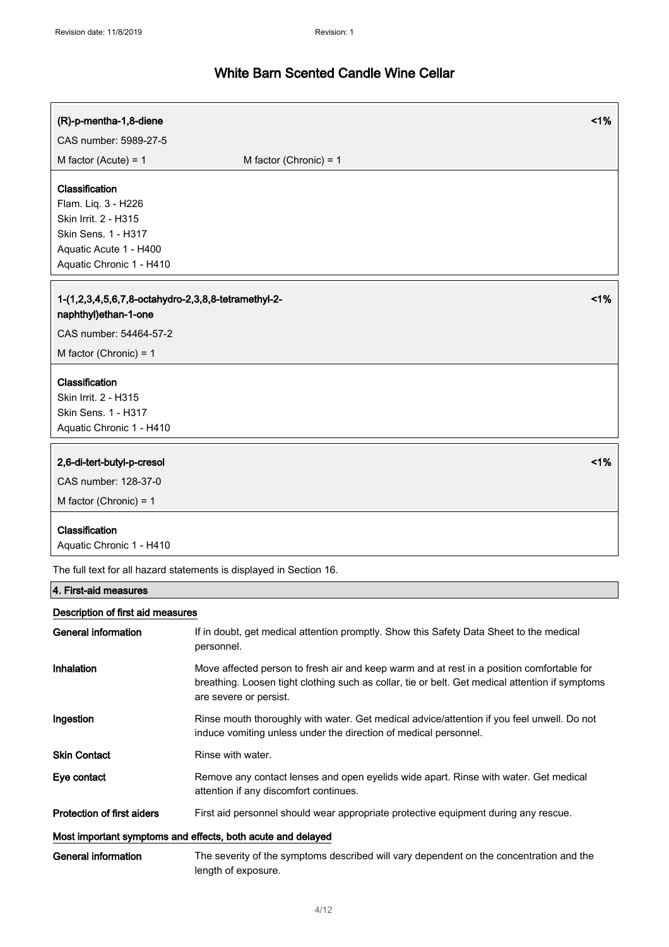| (R)-p-mentha-1,8-diene                                                                                                                     | 1%                                                                                                                                                                                                                     |  |
|--------------------------------------------------------------------------------------------------------------------------------------------|------------------------------------------------------------------------------------------------------------------------------------------------------------------------------------------------------------------------|--|
| CAS number: 5989-27-5                                                                                                                      |                                                                                                                                                                                                                        |  |
| M factor (Acute) = $1$                                                                                                                     | M factor (Chronic) = $1$                                                                                                                                                                                               |  |
| Classification<br>Flam. Liq. 3 - H226<br>Skin Irrit. 2 - H315<br>Skin Sens. 1 - H317<br>Aquatic Acute 1 - H400<br>Aquatic Chronic 1 - H410 |                                                                                                                                                                                                                        |  |
| 1-(1,2,3,4,5,6,7,8-octahydro-2,3,8,8-tetramethyl-2-<br>naphthyl)ethan-1-one                                                                | 1%                                                                                                                                                                                                                     |  |
| CAS number: 54464-57-2<br>M factor (Chronic) = $1$                                                                                         |                                                                                                                                                                                                                        |  |
| Classification<br>Skin Irrit. 2 - H315<br>Skin Sens. 1 - H317<br>Aquatic Chronic 1 - H410                                                  |                                                                                                                                                                                                                        |  |
| 2,6-di-tert-butyl-p-cresol<br>CAS number: 128-37-0<br>M factor (Chronic) = $1$                                                             | 1%                                                                                                                                                                                                                     |  |
| Classification<br>Aquatic Chronic 1 - H410                                                                                                 |                                                                                                                                                                                                                        |  |
|                                                                                                                                            | The full text for all hazard statements is displayed in Section 16.                                                                                                                                                    |  |
| 4. First-aid measures                                                                                                                      |                                                                                                                                                                                                                        |  |
| Description of first aid measures                                                                                                          |                                                                                                                                                                                                                        |  |
| <b>General information</b>                                                                                                                 | If in doubt, get medical attention promptly. Show this Safety Data Sheet to the medical<br>personnel.                                                                                                                  |  |
| Inhalation                                                                                                                                 | Move affected person to fresh air and keep warm and at rest in a position comfortable for<br>breathing. Loosen tight clothing such as collar, tie or belt. Get medical attention if symptoms<br>are severe or persist. |  |
| Ingestion                                                                                                                                  | Rinse mouth thoroughly with water. Get medical advice/attention if you feel unwell. Do not<br>induce vomiting unless under the direction of medical personnel.                                                         |  |
| <b>Skin Contact</b>                                                                                                                        | Rinse with water.                                                                                                                                                                                                      |  |
| Eye contact                                                                                                                                | Remove any contact lenses and open eyelids wide apart. Rinse with water. Get medical<br>attention if any discomfort continues.                                                                                         |  |
| <b>Protection of first aiders</b>                                                                                                          | First aid personnel should wear appropriate protective equipment during any rescue.                                                                                                                                    |  |
|                                                                                                                                            | Most important symptoms and effects, both acute and delayed                                                                                                                                                            |  |
| <b>General information</b>                                                                                                                 | The severity of the symptoms described will vary dependent on the concentration and the<br>length of exposure.                                                                                                         |  |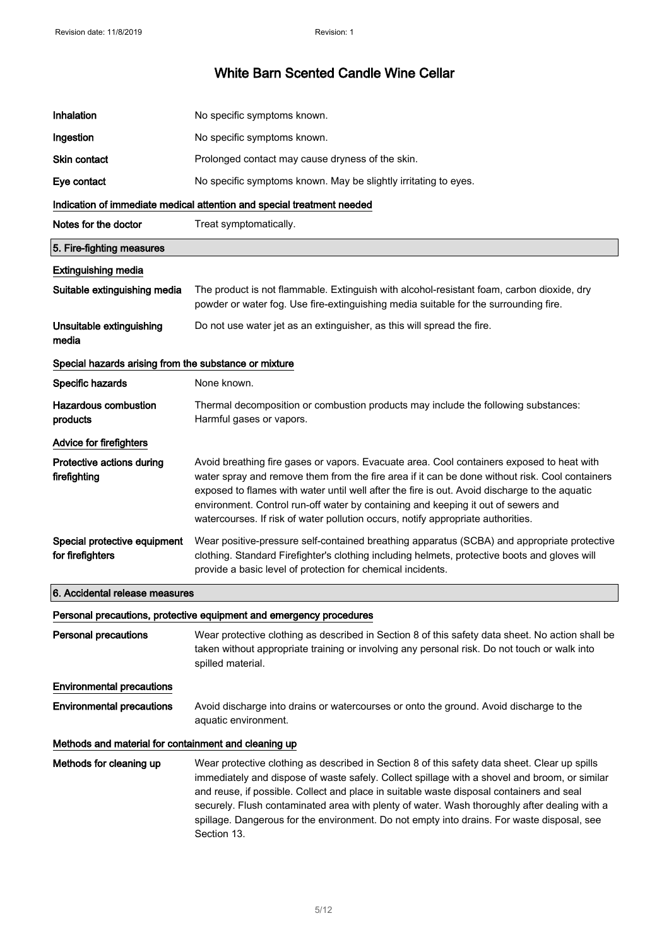| Inhalation                                            | No specific symptoms known.                                                                                                                                                                                                                                                                                                                                                                                                                                                                             |
|-------------------------------------------------------|---------------------------------------------------------------------------------------------------------------------------------------------------------------------------------------------------------------------------------------------------------------------------------------------------------------------------------------------------------------------------------------------------------------------------------------------------------------------------------------------------------|
| Ingestion                                             | No specific symptoms known.                                                                                                                                                                                                                                                                                                                                                                                                                                                                             |
| Skin contact                                          | Prolonged contact may cause dryness of the skin.                                                                                                                                                                                                                                                                                                                                                                                                                                                        |
| Eye contact                                           | No specific symptoms known. May be slightly irritating to eyes.                                                                                                                                                                                                                                                                                                                                                                                                                                         |
|                                                       | Indication of immediate medical attention and special treatment needed                                                                                                                                                                                                                                                                                                                                                                                                                                  |
| Notes for the doctor                                  | Treat symptomatically.                                                                                                                                                                                                                                                                                                                                                                                                                                                                                  |
| 5. Fire-fighting measures                             |                                                                                                                                                                                                                                                                                                                                                                                                                                                                                                         |
| <b>Extinguishing media</b>                            |                                                                                                                                                                                                                                                                                                                                                                                                                                                                                                         |
| Suitable extinguishing media                          | The product is not flammable. Extinguish with alcohol-resistant foam, carbon dioxide, dry<br>powder or water fog. Use fire-extinguishing media suitable for the surrounding fire.                                                                                                                                                                                                                                                                                                                       |
| Unsuitable extinguishing<br>media                     | Do not use water jet as an extinguisher, as this will spread the fire.                                                                                                                                                                                                                                                                                                                                                                                                                                  |
| Special hazards arising from the substance or mixture |                                                                                                                                                                                                                                                                                                                                                                                                                                                                                                         |
| Specific hazards                                      | None known.                                                                                                                                                                                                                                                                                                                                                                                                                                                                                             |
| <b>Hazardous combustion</b><br>products               | Thermal decomposition or combustion products may include the following substances:<br>Harmful gases or vapors.                                                                                                                                                                                                                                                                                                                                                                                          |
| Advice for firefighters                               |                                                                                                                                                                                                                                                                                                                                                                                                                                                                                                         |
| Protective actions during<br>firefighting             | Avoid breathing fire gases or vapors. Evacuate area. Cool containers exposed to heat with<br>water spray and remove them from the fire area if it can be done without risk. Cool containers<br>exposed to flames with water until well after the fire is out. Avoid discharge to the aquatic<br>environment. Control run-off water by containing and keeping it out of sewers and<br>watercourses. If risk of water pollution occurs, notify appropriate authorities.                                   |
| Special protective equipment<br>for firefighters      | Wear positive-pressure self-contained breathing apparatus (SCBA) and appropriate protective<br>clothing. Standard Firefighter's clothing including helmets, protective boots and gloves will<br>provide a basic level of protection for chemical incidents.                                                                                                                                                                                                                                             |
| 6. Accidental release measures                        |                                                                                                                                                                                                                                                                                                                                                                                                                                                                                                         |
|                                                       | Personal precautions, protective equipment and emergency procedures                                                                                                                                                                                                                                                                                                                                                                                                                                     |
| <b>Personal precautions</b>                           | Wear protective clothing as described in Section 8 of this safety data sheet. No action shall be<br>taken without appropriate training or involving any personal risk. Do not touch or walk into<br>spilled material.                                                                                                                                                                                                                                                                                   |
| <b>Environmental precautions</b>                      |                                                                                                                                                                                                                                                                                                                                                                                                                                                                                                         |
| <b>Environmental precautions</b>                      | Avoid discharge into drains or watercourses or onto the ground. Avoid discharge to the<br>aquatic environment.                                                                                                                                                                                                                                                                                                                                                                                          |
| Methods and material for containment and cleaning up  |                                                                                                                                                                                                                                                                                                                                                                                                                                                                                                         |
| Methods for cleaning up                               | Wear protective clothing as described in Section 8 of this safety data sheet. Clear up spills<br>immediately and dispose of waste safely. Collect spillage with a shovel and broom, or similar<br>and reuse, if possible. Collect and place in suitable waste disposal containers and seal<br>securely. Flush contaminated area with plenty of water. Wash thoroughly after dealing with a<br>spillage. Dangerous for the environment. Do not empty into drains. For waste disposal, see<br>Section 13. |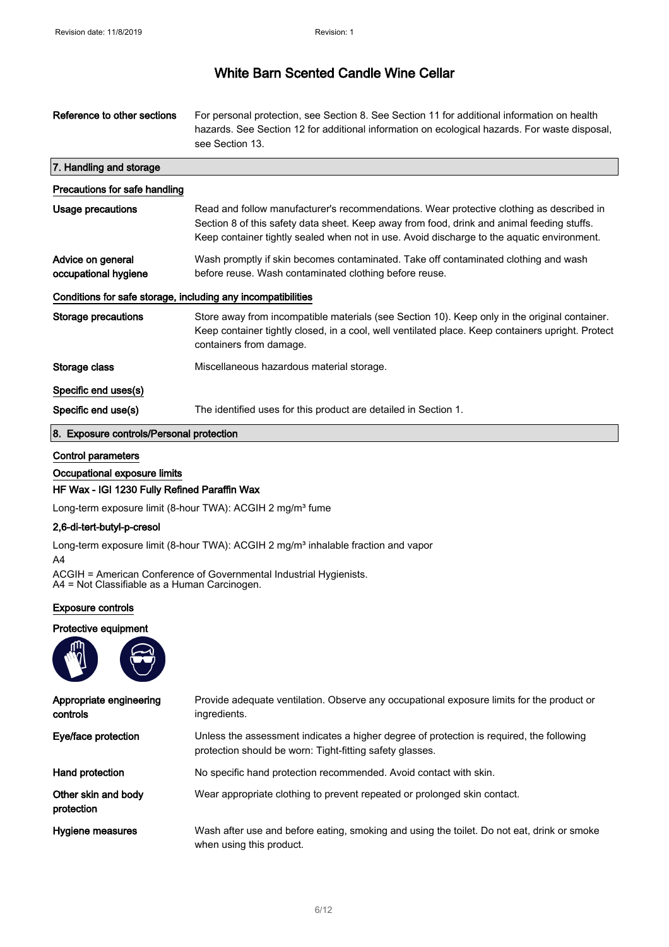| Reference to other sections                                  | For personal protection, see Section 8. See Section 11 for additional information on health<br>hazards. See Section 12 for additional information on ecological hazards. For waste disposal,<br>see Section 13.                                                                      |
|--------------------------------------------------------------|--------------------------------------------------------------------------------------------------------------------------------------------------------------------------------------------------------------------------------------------------------------------------------------|
| 7. Handling and storage                                      |                                                                                                                                                                                                                                                                                      |
| Precautions for safe handling                                |                                                                                                                                                                                                                                                                                      |
| Usage precautions                                            | Read and follow manufacturer's recommendations. Wear protective clothing as described in<br>Section 8 of this safety data sheet. Keep away from food, drink and animal feeding stuffs.<br>Keep container tightly sealed when not in use. Avoid discharge to the aquatic environment. |
| Advice on general<br>occupational hygiene                    | Wash promptly if skin becomes contaminated. Take off contaminated clothing and wash<br>before reuse. Wash contaminated clothing before reuse.                                                                                                                                        |
| Conditions for safe storage, including any incompatibilities |                                                                                                                                                                                                                                                                                      |
| Storage precautions                                          | Store away from incompatible materials (see Section 10). Keep only in the original container.<br>Keep container tightly closed, in a cool, well ventilated place. Keep containers upright. Protect<br>containers from damage.                                                        |
| Storage class                                                | Miscellaneous hazardous material storage.                                                                                                                                                                                                                                            |
| Specific end uses(s)                                         |                                                                                                                                                                                                                                                                                      |
| Specific end use(s)                                          | The identified uses for this product are detailed in Section 1.                                                                                                                                                                                                                      |
| 8. Exposure controls/Personal protection                     |                                                                                                                                                                                                                                                                                      |

### Control parameters

Occupational exposure limits

### HF Wax - IGI 1230 Fully Refined Paraffin Wax

Long-term exposure limit (8-hour TWA): ACGIH 2 mg/m<sup>3</sup> fume

### 2,6-di-tert-butyl-p-cresol

Long-term exposure limit (8-hour TWA): ACGIH 2 mg/m<sup>3</sup> inhalable fraction and vapor

A4

ACGIH = American Conference of Governmental Industrial Hygienists. A4 = Not Classifiable as a Human Carcinogen.

### Exposure controls

### Protective equipment



| Appropriate engineering<br>controls | Provide adequate ventilation. Observe any occupational exposure limits for the product or<br>ingredients.                                            |
|-------------------------------------|------------------------------------------------------------------------------------------------------------------------------------------------------|
| Eye/face protection                 | Unless the assessment indicates a higher degree of protection is required, the following<br>protection should be worn: Tight-fitting safety glasses. |
| Hand protection                     | No specific hand protection recommended. Avoid contact with skin.                                                                                    |
| Other skin and body<br>protection   | Wear appropriate clothing to prevent repeated or prolonged skin contact.                                                                             |
| Hygiene measures                    | Wash after use and before eating, smoking and using the toilet. Do not eat, drink or smoke<br>when using this product.                               |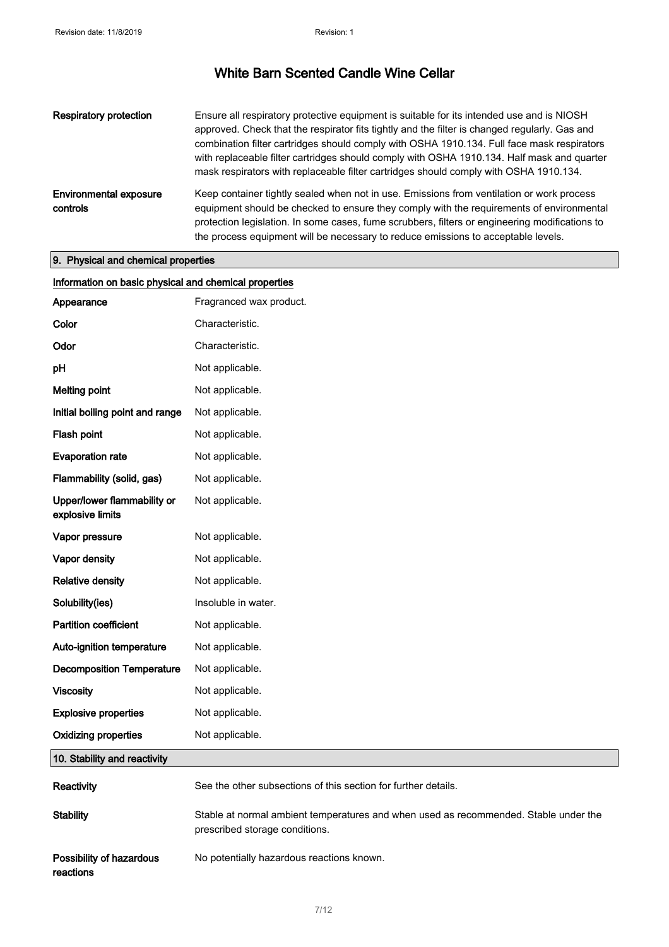| <b>Respiratory protection</b>             | Ensure all respiratory protective equipment is suitable for its intended use and is NIOSH<br>approved. Check that the respirator fits tightly and the filter is changed regularly. Gas and<br>combination filter cartridges should comply with OSHA 1910.134. Full face mask respirators<br>with replaceable filter cartridges should comply with OSHA 1910.134. Half mask and quarter<br>mask respirators with replaceable filter cartridges should comply with OSHA 1910.134. |
|-------------------------------------------|---------------------------------------------------------------------------------------------------------------------------------------------------------------------------------------------------------------------------------------------------------------------------------------------------------------------------------------------------------------------------------------------------------------------------------------------------------------------------------|
| <b>Environmental exposure</b><br>controls | Keep container tightly sealed when not in use. Emissions from ventilation or work process<br>equipment should be checked to ensure they comply with the requirements of environmental<br>protection legislation. In some cases, fume scrubbers, filters or engineering modifications to<br>the process equipment will be necessary to reduce emissions to acceptable levels.                                                                                                    |

## 9. Physical and chemical properties

| Information on basic physical and chemical properties |                                                                                                                        |
|-------------------------------------------------------|------------------------------------------------------------------------------------------------------------------------|
| Appearance                                            | Fragranced wax product.                                                                                                |
| Color                                                 | Characteristic.                                                                                                        |
| Odor                                                  | Characteristic.                                                                                                        |
| pH                                                    | Not applicable.                                                                                                        |
| <b>Melting point</b>                                  | Not applicable.                                                                                                        |
| Initial boiling point and range                       | Not applicable.                                                                                                        |
| Flash point                                           | Not applicable.                                                                                                        |
| <b>Evaporation rate</b>                               | Not applicable.                                                                                                        |
| Flammability (solid, gas)                             | Not applicable.                                                                                                        |
| Upper/lower flammability or<br>explosive limits       | Not applicable.                                                                                                        |
| Vapor pressure                                        | Not applicable.                                                                                                        |
| Vapor density                                         | Not applicable.                                                                                                        |
| <b>Relative density</b>                               | Not applicable.                                                                                                        |
| Solubility(ies)                                       | Insoluble in water.                                                                                                    |
| <b>Partition coefficient</b>                          | Not applicable.                                                                                                        |
| Auto-ignition temperature                             | Not applicable.                                                                                                        |
| <b>Decomposition Temperature</b>                      | Not applicable.                                                                                                        |
| <b>Viscosity</b>                                      | Not applicable.                                                                                                        |
| <b>Explosive properties</b>                           | Not applicable.                                                                                                        |
| <b>Oxidizing properties</b>                           | Not applicable.                                                                                                        |
| 10. Stability and reactivity                          |                                                                                                                        |
| Reactivity                                            | See the other subsections of this section for further details.                                                         |
| <b>Stability</b>                                      | Stable at normal ambient temperatures and when used as recommended. Stable under the<br>prescribed storage conditions. |
| Possibility of hazardous<br>reactions                 | No potentially hazardous reactions known.                                                                              |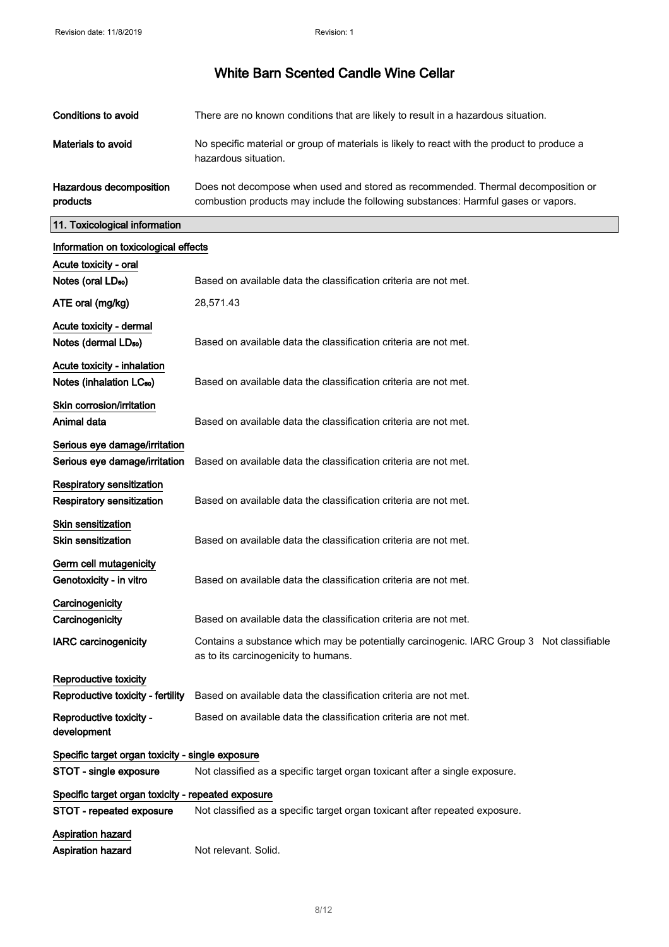| Conditions to avoid                 | There are no known conditions that are likely to result in a hazardous situation.                                                                                      |
|-------------------------------------|------------------------------------------------------------------------------------------------------------------------------------------------------------------------|
| Materials to avoid                  | No specific material or group of materials is likely to react with the product to produce a<br>hazardous situation.                                                    |
| Hazardous decomposition<br>products | Does not decompose when used and stored as recommended. Thermal decomposition or<br>combustion products may include the following substances: Harmful gases or vapors. |

products

 $\hat{\boldsymbol{\beta}}$ 

11. Toxicological information

| Information on toxicological effects                                 |                                                                                                                                   |
|----------------------------------------------------------------------|-----------------------------------------------------------------------------------------------------------------------------------|
| Acute toxicity - oral                                                |                                                                                                                                   |
| Notes (oral LD <sub>50</sub> )                                       | Based on available data the classification criteria are not met.                                                                  |
| ATE oral (mg/kg)                                                     | 28,571.43                                                                                                                         |
| Acute toxicity - dermal<br>Notes (dermal LD <sub>50</sub> )          | Based on available data the classification criteria are not met.                                                                  |
| Acute toxicity - inhalation<br>Notes (inhalation LC <sub>50</sub> )  | Based on available data the classification criteria are not met.                                                                  |
| Skin corrosion/irritation<br>Animal data                             | Based on available data the classification criteria are not met.                                                                  |
| Serious eye damage/irritation<br>Serious eye damage/irritation       | Based on available data the classification criteria are not met.                                                                  |
| <b>Respiratory sensitization</b><br><b>Respiratory sensitization</b> | Based on available data the classification criteria are not met.                                                                  |
| <b>Skin sensitization</b><br><b>Skin sensitization</b>               | Based on available data the classification criteria are not met.                                                                  |
| Germ cell mutagenicity<br>Genotoxicity - in vitro                    | Based on available data the classification criteria are not met.                                                                  |
| Carcinogenicity<br>Carcinogenicity                                   | Based on available data the classification criteria are not met.                                                                  |
| <b>IARC</b> carcinogenicity                                          | Contains a substance which may be potentially carcinogenic. IARC Group 3 Not classifiable<br>as to its carcinogenicity to humans. |
| Reproductive toxicity<br>Reproductive toxicity - fertility           | Based on available data the classification criteria are not met.                                                                  |
| Reproductive toxicity -<br>development                               | Based on available data the classification criteria are not met.                                                                  |
| Specific target organ toxicity - single exposure                     |                                                                                                                                   |
| STOT - single exposure                                               | Not classified as a specific target organ toxicant after a single exposure.                                                       |
| Specific target organ toxicity - repeated exposure                   |                                                                                                                                   |
| STOT - repeated exposure                                             | Not classified as a specific target organ toxicant after repeated exposure.                                                       |
| <b>Aspiration hazard</b>                                             |                                                                                                                                   |
| <b>Aspiration hazard</b>                                             | Not relevant. Solid.                                                                                                              |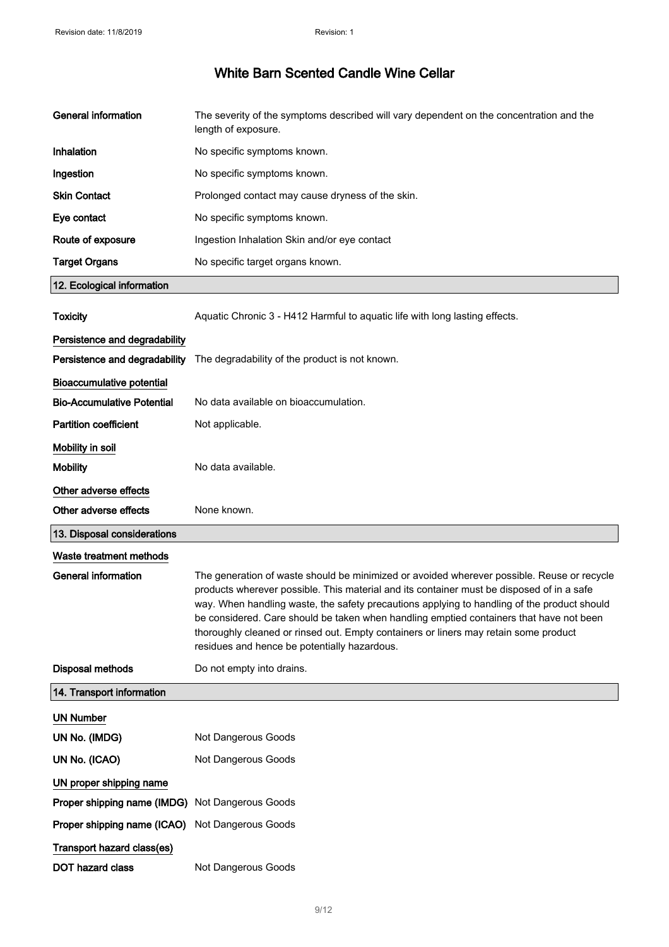| <b>General information</b>                      | The severity of the symptoms described will vary dependent on the concentration and the<br>length of exposure.                                                                                                                                                                                                                                                                                                                                                                                                            |
|-------------------------------------------------|---------------------------------------------------------------------------------------------------------------------------------------------------------------------------------------------------------------------------------------------------------------------------------------------------------------------------------------------------------------------------------------------------------------------------------------------------------------------------------------------------------------------------|
| Inhalation                                      | No specific symptoms known.                                                                                                                                                                                                                                                                                                                                                                                                                                                                                               |
| Ingestion                                       | No specific symptoms known.                                                                                                                                                                                                                                                                                                                                                                                                                                                                                               |
| <b>Skin Contact</b>                             | Prolonged contact may cause dryness of the skin.                                                                                                                                                                                                                                                                                                                                                                                                                                                                          |
| Eye contact                                     | No specific symptoms known.                                                                                                                                                                                                                                                                                                                                                                                                                                                                                               |
| Route of exposure                               | Ingestion Inhalation Skin and/or eye contact                                                                                                                                                                                                                                                                                                                                                                                                                                                                              |
| <b>Target Organs</b>                            | No specific target organs known.                                                                                                                                                                                                                                                                                                                                                                                                                                                                                          |
| 12. Ecological information                      |                                                                                                                                                                                                                                                                                                                                                                                                                                                                                                                           |
| <b>Toxicity</b>                                 | Aquatic Chronic 3 - H412 Harmful to aquatic life with long lasting effects.                                                                                                                                                                                                                                                                                                                                                                                                                                               |
| Persistence and degradability                   |                                                                                                                                                                                                                                                                                                                                                                                                                                                                                                                           |
| Persistence and degradability                   | The degradability of the product is not known.                                                                                                                                                                                                                                                                                                                                                                                                                                                                            |
| <b>Bioaccumulative potential</b>                |                                                                                                                                                                                                                                                                                                                                                                                                                                                                                                                           |
| <b>Bio-Accumulative Potential</b>               | No data available on bioaccumulation.                                                                                                                                                                                                                                                                                                                                                                                                                                                                                     |
| <b>Partition coefficient</b>                    | Not applicable.                                                                                                                                                                                                                                                                                                                                                                                                                                                                                                           |
| Mobility in soil                                |                                                                                                                                                                                                                                                                                                                                                                                                                                                                                                                           |
| <b>Mobility</b>                                 | No data available.                                                                                                                                                                                                                                                                                                                                                                                                                                                                                                        |
| Other adverse effects                           |                                                                                                                                                                                                                                                                                                                                                                                                                                                                                                                           |
|                                                 |                                                                                                                                                                                                                                                                                                                                                                                                                                                                                                                           |
| Other adverse effects                           | None known.                                                                                                                                                                                                                                                                                                                                                                                                                                                                                                               |
| 13. Disposal considerations                     |                                                                                                                                                                                                                                                                                                                                                                                                                                                                                                                           |
| Waste treatment methods                         |                                                                                                                                                                                                                                                                                                                                                                                                                                                                                                                           |
| <b>General information</b>                      | The generation of waste should be minimized or avoided wherever possible. Reuse or recycle<br>products wherever possible. This material and its container must be disposed of in a safe<br>way. When handling waste, the safety precautions applying to handling of the product should<br>be considered. Care should be taken when handling emptied containers that have not been<br>thoroughly cleaned or rinsed out. Empty containers or liners may retain some product<br>residues and hence be potentially hazardous. |
| Disposal methods                                | Do not empty into drains.                                                                                                                                                                                                                                                                                                                                                                                                                                                                                                 |
| 14. Transport information                       |                                                                                                                                                                                                                                                                                                                                                                                                                                                                                                                           |
| <b>UN Number</b>                                |                                                                                                                                                                                                                                                                                                                                                                                                                                                                                                                           |
| UN No. (IMDG)                                   | Not Dangerous Goods                                                                                                                                                                                                                                                                                                                                                                                                                                                                                                       |
| UN No. (ICAO)                                   | Not Dangerous Goods                                                                                                                                                                                                                                                                                                                                                                                                                                                                                                       |
| UN proper shipping name                         |                                                                                                                                                                                                                                                                                                                                                                                                                                                                                                                           |
| Proper shipping name (IMDG) Not Dangerous Goods |                                                                                                                                                                                                                                                                                                                                                                                                                                                                                                                           |
| Proper shipping name (ICAO)                     | Not Dangerous Goods                                                                                                                                                                                                                                                                                                                                                                                                                                                                                                       |
| Transport hazard class(es)                      |                                                                                                                                                                                                                                                                                                                                                                                                                                                                                                                           |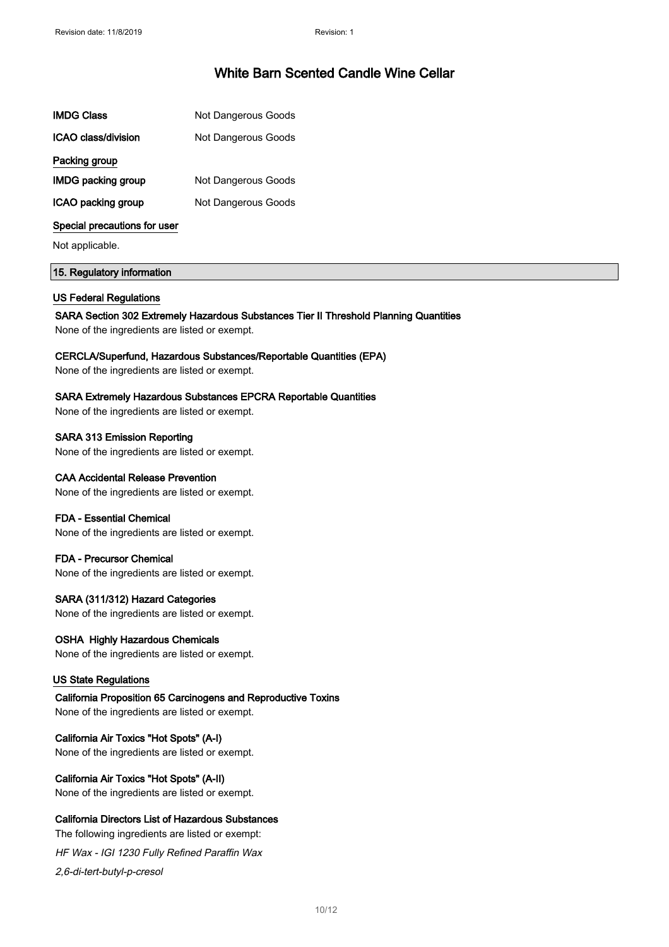| <b>IMDG Class</b>            | <b>Not Dangerous Goods</b> |
|------------------------------|----------------------------|
| ICAO class/division          | Not Dangerous Goods        |
| Packing group                |                            |
| <b>IMDG packing group</b>    | <b>Not Dangerous Goods</b> |
| ICAO packing group           | Not Dangerous Goods        |
| Special precautions for user |                            |

Not applicable.

### 15. Regulatory information

#### US Federal Regulations

SARA Section 302 Extremely Hazardous Substances Tier II Threshold Planning Quantities

None of the ingredients are listed or exempt.

#### CERCLA/Superfund, Hazardous Substances/Reportable Quantities (EPA)

None of the ingredients are listed or exempt.

### SARA Extremely Hazardous Substances EPCRA Reportable Quantities

None of the ingredients are listed or exempt.

SARA 313 Emission Reporting None of the ingredients are listed or exempt.

### CAA Accidental Release Prevention

None of the ingredients are listed or exempt.

#### FDA - Essential Chemical

None of the ingredients are listed or exempt.

### FDA - Precursor Chemical None of the ingredients are listed or exempt.

### SARA (311/312) Hazard Categories

None of the ingredients are listed or exempt.

### OSHA Highly Hazardous Chemicals

None of the ingredients are listed or exempt.

#### US State Regulations

California Proposition 65 Carcinogens and Reproductive Toxins None of the ingredients are listed or exempt.

### California Air Toxics "Hot Spots" (A-I)

None of the ingredients are listed or exempt.

## California Air Toxics "Hot Spots" (A-II)

None of the ingredients are listed or exempt.

## California Directors List of Hazardous Substances

The following ingredients are listed or exempt:

HF Wax - IGI 1230 Fully Refined Paraffin Wax 2,6-di-tert-butyl-p-cresol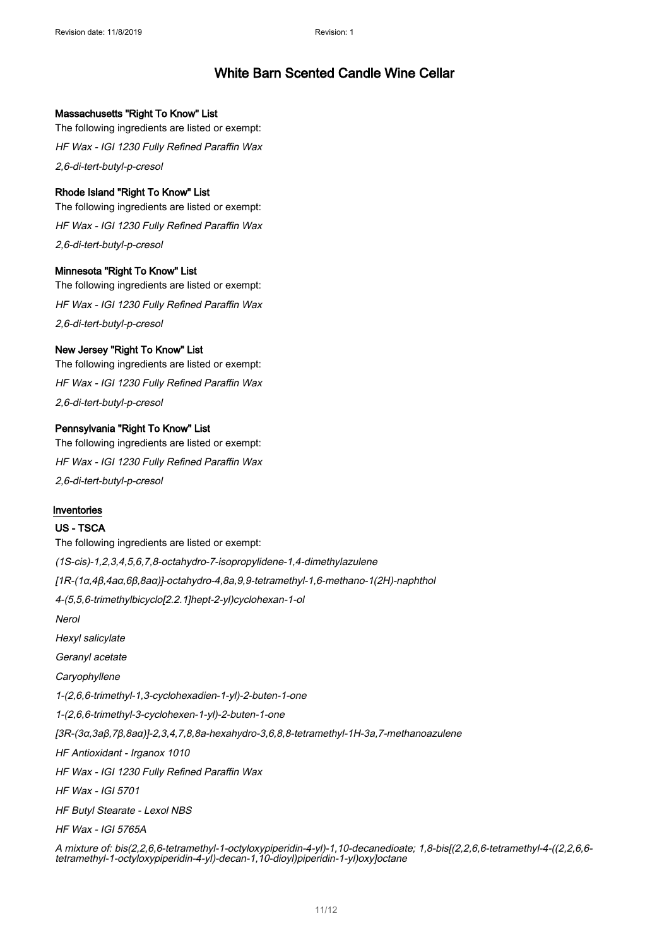### Massachusetts "Right To Know" List

The following ingredients are listed or exempt: HF Wax - IGI 1230 Fully Refined Paraffin Wax 2,6-di-tert-butyl-p-cresol

### Rhode Island "Right To Know" List

The following ingredients are listed or exempt: HF Wax - IGI 1230 Fully Refined Paraffin Wax 2,6-di-tert-butyl-p-cresol

### Minnesota "Right To Know" List

The following ingredients are listed or exempt: HF Wax - IGI 1230 Fully Refined Paraffin Wax 2,6-di-tert-butyl-p-cresol

### New Jersey "Right To Know" List

The following ingredients are listed or exempt: HF Wax - IGI 1230 Fully Refined Paraffin Wax 2,6-di-tert-butyl-p-cresol

### Pennsylvania "Right To Know" List

The following ingredients are listed or exempt: HF Wax - IGI 1230 Fully Refined Paraffin Wax 2,6-di-tert-butyl-p-cresol

### Inventories

### US - TSCA

The following ingredients are listed or exempt: (1S-cis)-1,2,3,4,5,6,7,8-octahydro-7-isopropylidene-1,4-dimethylazulene [1R-(1α,4β,4aα,6β,8aα)]-octahydro-4,8a,9,9-tetramethyl-1,6-methano-1(2H)-naphthol 4-(5,5,6-trimethylbicyclo[2.2.1]hept-2-yl)cyclohexan-1-ol Nerol Hexyl salicylate Geranyl acetate **Caryophyllene** 1-(2,6,6-trimethyl-1,3-cyclohexadien-1-yl)-2-buten-1-one 1-(2,6,6-trimethyl-3-cyclohexen-1-yl)-2-buten-1-one [3R-(3α,3aβ,7β,8aα)]-2,3,4,7,8,8a-hexahydro-3,6,8,8-tetramethyl-1H-3a,7-methanoazulene HF Antioxidant - Irganox 1010 HF Wax - IGI 1230 Fully Refined Paraffin Wax HF Wax - IGI 5701 HF Butyl Stearate - Lexol NBS HF Wax - IGI 5765A

A mixture of: bis(2,2,6,6-tetramethyl-1-octyloxypiperidin-4-yl)-1,10-decanedioate; 1,8-bis[(2,2,6,6-tetramethyl-4-((2,2,6,6 tetramethyl-1-octyloxypiperidin-4-yl)-decan-1,10-dioyl)piperidin-1-yl)oxy]octane